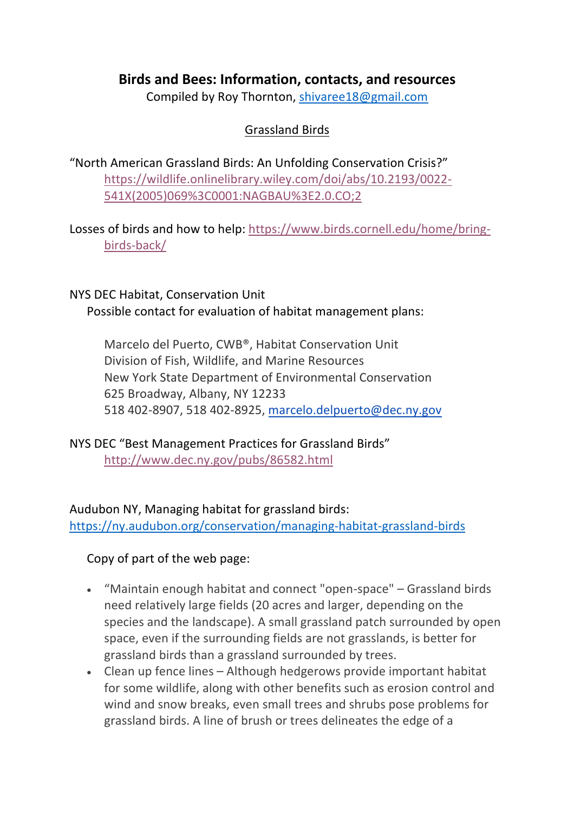# **Birds and Bees: Information, contacts, and resources**

Compiled by Roy Thornton, shivaree18@gmail.com

## Grassland Birds

"North American Grassland Birds: An Unfolding Conservation Crisis?" https://wildlife.onlinelibrary.wiley.com/doi/abs/10.2193/0022- 541X(2005)069%3C0001:NAGBAU%3E2.0.CO;2

Losses of birds and how to help: https://www.birds.cornell.edu/home/bringbirds-back/

## NYS DEC Habitat, Conservation Unit Possible contact for evaluation of habitat management plans:

Marcelo del Puerto, CWB®, Habitat Conservation Unit Division of Fish, Wildlife, and Marine Resources New York State Department of Environmental Conservation 625 Broadway, Albany, NY 12233 518 402-8907, 518 402-8925, marcelo.delpuerto@dec.ny.gov

NYS DEC "Best Management Practices for Grassland Birds" http://www.dec.ny.gov/pubs/86582.html

Audubon NY, Managing habitat for grassland birds: https://ny.audubon.org/conservation/managing-habitat-grassland-birds

Copy of part of the web page:

- "Maintain enough habitat and connect "open-space" Grassland birds need relatively large fields (20 acres and larger, depending on the species and the landscape). A small grassland patch surrounded by open space, even if the surrounding fields are not grasslands, is better for grassland birds than a grassland surrounded by trees.
- Clean up fence lines Although hedgerows provide important habitat for some wildlife, along with other benefits such as erosion control and wind and snow breaks, even small trees and shrubs pose problems for grassland birds. A line of brush or trees delineates the edge of a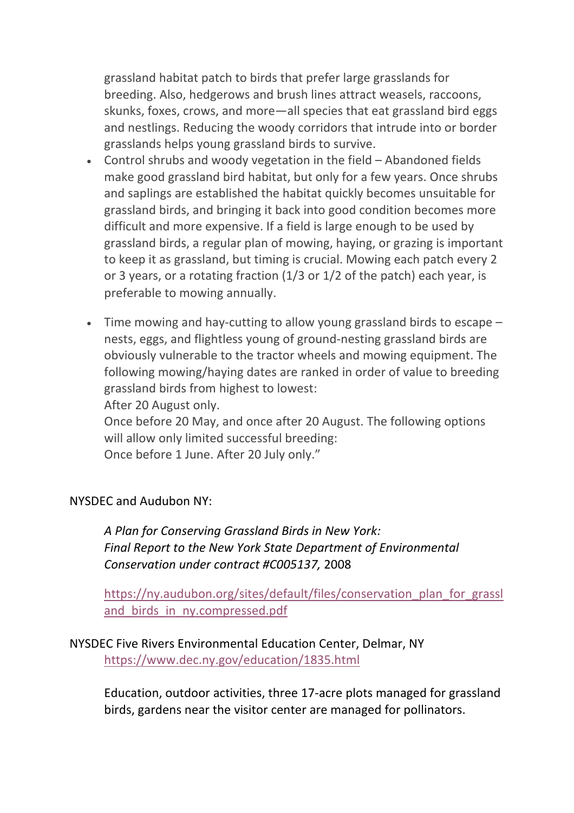grassland habitat patch to birds that prefer large grasslands for breeding. Also, hedgerows and brush lines attract weasels, raccoons, skunks, foxes, crows, and more—all species that eat grassland bird eggs and nestlings. Reducing the woody corridors that intrude into or border grasslands helps young grassland birds to survive.

- Control shrubs and woody vegetation in the field Abandoned fields make good grassland bird habitat, but only for a few years. Once shrubs and saplings are established the habitat quickly becomes unsuitable for grassland birds, and bringing it back into good condition becomes more difficult and more expensive. If a field is large enough to be used by grassland birds, a regular plan of mowing, haying, or grazing is important to keep it as grassland, but timing is crucial. Mowing each patch every 2 or 3 years, or a rotating fraction (1/3 or 1/2 of the patch) each year, is preferable to mowing annually.
- Time mowing and hay-cutting to allow young grassland birds to escape nests, eggs, and flightless young of ground-nesting grassland birds are obviously vulnerable to the tractor wheels and mowing equipment. The following mowing/haying dates are ranked in order of value to breeding grassland birds from highest to lowest: After 20 August only.

Once before 20 May, and once after 20 August. The following options will allow only limited successful breeding: Once before 1 June. After 20 July only."

#### NYSDEC and Audubon NY:

*A Plan for Conserving Grassland Birds in New York: Final Report to the New York State Department of Environmental Conservation under contract #C005137,* 2008

https://ny.audubon.org/sites/default/files/conservation\_plan\_for\_grassl and\_birds\_in\_ny.compressed.pdf

#### NYSDEC Five Rivers Environmental Education Center, Delmar, NY https://www.dec.ny.gov/education/1835.html

Education, outdoor activities, three 17-acre plots managed for grassland birds, gardens near the visitor center are managed for pollinators.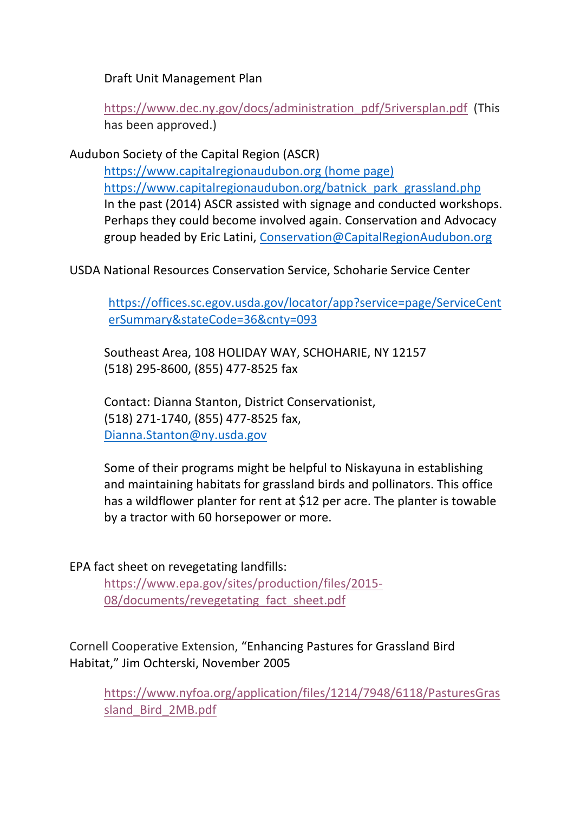Draft Unit Management Plan

https://www.dec.ny.gov/docs/administration\_pdf/5riversplan.pdf (This has been approved.)

Audubon Society of the Capital Region (ASCR)

https://www.capitalregionaudubon.org (home page) https://www.capitalregionaudubon.org/batnick\_park\_grassland.php In the past (2014) ASCR assisted with signage and conducted workshops. Perhaps they could become involved again. Conservation and Advocacy group headed by Eric Latini, Conservation@CapitalRegionAudubon.org

USDA National Resources Conservation Service, Schoharie Service Center

https://offices.sc.egov.usda.gov/locator/app?service=page/ServiceCent erSummary&stateCode=36&cnty=093

Southeast Area, 108 HOLIDAY WAY, SCHOHARIE, NY 12157 (518) 295-8600, (855) 477-8525 fax

Contact: Dianna Stanton, District Conservationist, (518) 271-1740, (855) 477-8525 fax, Dianna.Stanton@ny.usda.gov

Some of their programs might be helpful to Niskayuna in establishing and maintaining habitats for grassland birds and pollinators. This office has a wildflower planter for rent at \$12 per acre. The planter is towable by a tractor with 60 horsepower or more.

EPA fact sheet on revegetating landfills:

https://www.epa.gov/sites/production/files/2015- 08/documents/revegetating fact sheet.pdf

Cornell Cooperative Extension, "Enhancing Pastures for Grassland Bird Habitat," Jim Ochterski, November 2005

https://www.nyfoa.org/application/files/1214/7948/6118/PasturesGras sland\_Bird\_2MB.pdf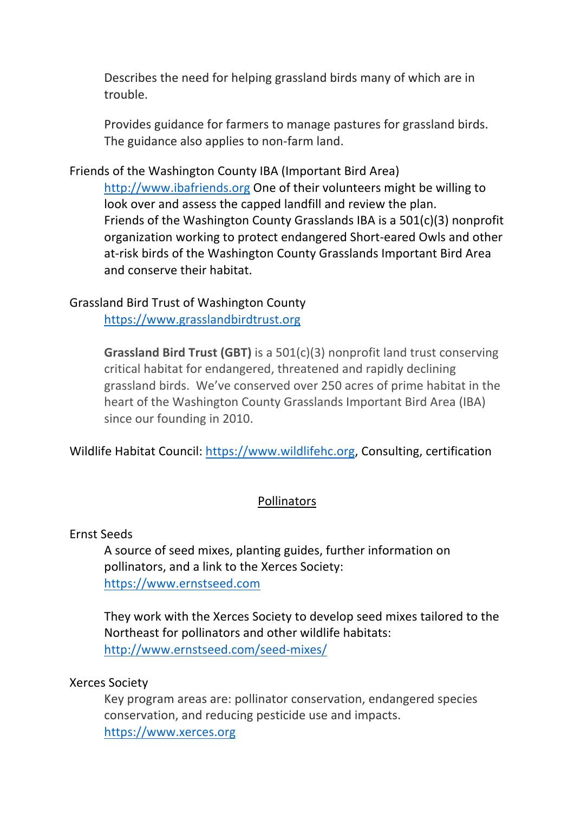Describes the need for helping grassland birds many of which are in trouble.

Provides guidance for farmers to manage pastures for grassland birds. The guidance also applies to non-farm land.

Friends of the Washington County IBA (Important Bird Area)

http://www.ibafriends.org One of their volunteers might be willing to look over and assess the capped landfill and review the plan. Friends of the Washington County Grasslands IBA is a 501(c)(3) nonprofit organization working to protect endangered Short-eared Owls and other at-risk birds of the Washington County Grasslands Important Bird Area and conserve their habitat.

## Grassland Bird Trust of Washington County

https://www.grasslandbirdtrust.org

**Grassland Bird Trust (GBT)** is a 501(c)(3) nonprofit land trust conserving critical habitat for endangered, threatened and rapidly declining grassland birds. We've conserved over 250 acres of prime habitat in the heart of the Washington County Grasslands Important Bird Area (IBA) since our founding in 2010.

Wildlife Habitat Council: https://www.wildlifehc.org, Consulting, certification

#### Pollinators

#### Ernst Seeds

A source of seed mixes, planting guides, further information on pollinators, and a link to the Xerces Society: https://www.ernstseed.com

They work with the Xerces Society to develop seed mixes tailored to the Northeast for pollinators and other wildlife habitats: http://www.ernstseed.com/seed-mixes/

#### Xerces Society

Key program areas are: pollinator conservation, endangered species conservation, and reducing pesticide use and impacts. https://www.xerces.org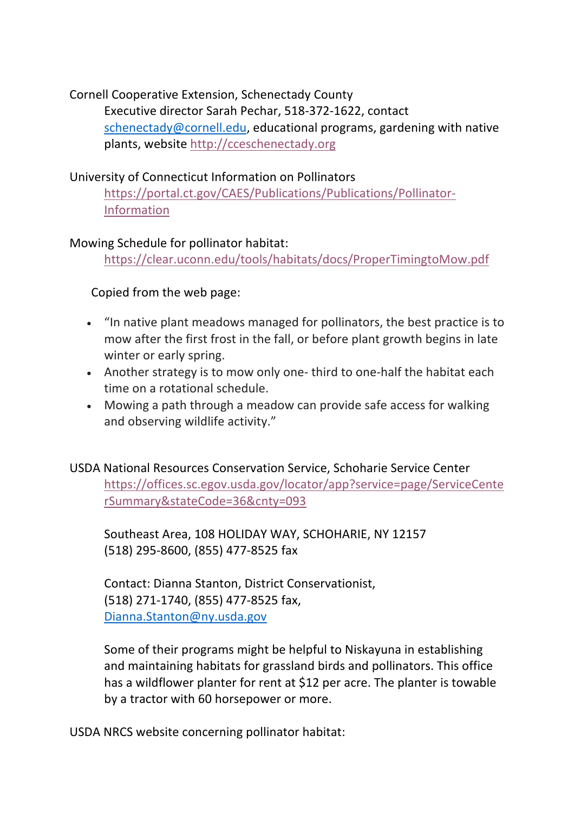Cornell Cooperative Extension, Schenectady County Executive director Sarah Pechar, 518-372-1622, contact schenectady@cornell.edu, educational programs, gardening with native plants, website http://cceschenectady.org

## University of Connecticut Information on Pollinators

https://portal.ct.gov/CAES/Publications/Publications/Pollinator-Information

## Mowing Schedule for pollinator habitat:

https://clear.uconn.edu/tools/habitats/docs/ProperTimingtoMow.pdf

Copied from the web page:

- "In native plant meadows managed for pollinators, the best practice is to mow after the first frost in the fall, or before plant growth begins in late winter or early spring.
- Another strategy is to mow only one- third to one-half the habitat each time on a rotational schedule.
- Mowing a path through a meadow can provide safe access for walking and observing wildlife activity."

USDA National Resources Conservation Service, Schoharie Service Center https://offices.sc.egov.usda.gov/locator/app?service=page/ServiceCente rSummary&stateCode=36&cnty=093

Southeast Area, 108 HOLIDAY WAY, SCHOHARIE, NY 12157 (518) 295-8600, (855) 477-8525 fax

Contact: Dianna Stanton, District Conservationist, (518) 271-1740, (855) 477-8525 fax, Dianna.Stanton@ny.usda.gov

Some of their programs might be helpful to Niskayuna in establishing and maintaining habitats for grassland birds and pollinators. This office has a wildflower planter for rent at \$12 per acre. The planter is towable by a tractor with 60 horsepower or more.

USDA NRCS website concerning pollinator habitat: